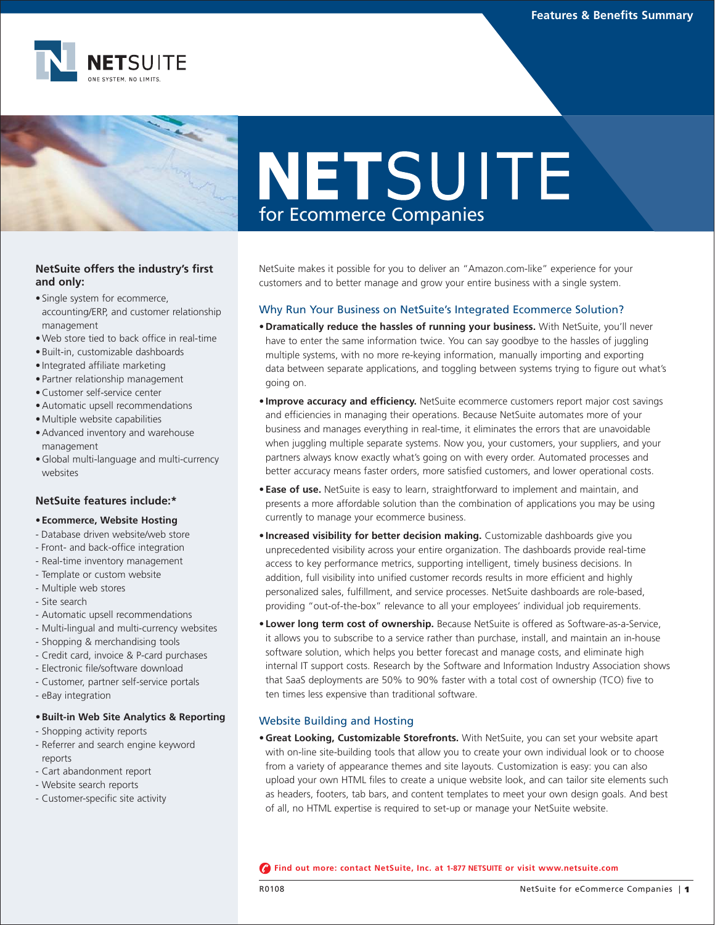

# NETSUITE for Ecommerce Companies

# **NetSuite offers the industry's first and only:**

- Single system for ecommerce, accounting/ERP, and customer relationship management
- Web store tied to back office in real-time
- Built-in, customizable dashboards
- Integrated affiliate marketing
- Partner relationship management
- Customer self-service center
- Automatic upsell recommendations
- Multiple website capabilities
- Advanced inventory and warehouse management
- Global multi-language and multi-currency websites

# **NetSuite features include:\***

## **•Ecommerce, Website Hosting**

- Database driven website/web store
- Front- and back-office integration
- Real-time inventory management
- Template or custom website
- Multiple web stores
- Site search
- Automatic upsell recommendations
- Multi-lingual and multi-currency websites
- Shopping & merchandising tools
- Credit card, invoice & P-card purchases
- Electronic file/software download
- Customer, partner self-service portals
- eBay integration

## **•Built-in Web Site Analytics & Reporting**

- Shopping activity reports
- Referrer and search engine keyword reports
- Cart abandonment report
- Website search reports
- Customer-specific site activity

NetSuite makes it possible for you to deliver an "Amazon.com-like" experience for your customers and to better manage and grow your entire business with a single system.

## Why Run Your Business on NetSuite's Integrated Ecommerce Solution?

- **Dramatically reduce the hassles of running your business.** With NetSuite, you'll never have to enter the same information twice. You can say goodbye to the hassles of juggling multiple systems, with no more re-keying information, manually importing and exporting data between separate applications, and toggling between systems trying to figure out what's going on.
- **Improve accuracy and efficiency.** NetSuite ecommerce customers report major cost savings and efficiencies in managing their operations. Because NetSuite automates more of your business and manages everything in real-time, it eliminates the errors that are unavoidable when juggling multiple separate systems. Now you, your customers, your suppliers, and your partners always know exactly what's going on with every order. Automated processes and better accuracy means faster orders, more satisfied customers, and lower operational costs.
- **Ease of use.** NetSuite is easy to learn, straightforward to implement and maintain, and presents a more affordable solution than the combination of applications you may be using currently to manage your ecommerce business.
- **Increased visibility for better decision making.** Customizable dashboards give you unprecedented visibility across your entire organization. The dashboards provide real-time access to key performance metrics, supporting intelligent, timely business decisions. In addition, full visibility into unified customer records results in more efficient and highly personalized sales, fulfillment, and service processes. NetSuite dashboards are role-based, providing "out-of-the-box" relevance to all your employees' individual job requirements.
- **Lower long term cost of ownership.** Because NetSuite is offered as Software-as-a-Service, it allows you to subscribe to a service rather than purchase, install, and maintain an in-house software solution, which helps you better forecast and manage costs, and eliminate high internal IT support costs. Research by the Software and Information Industry Association shows that SaaS deployments are 50% to 90% faster with a total cost of ownership (TCO) five to ten times less expensive than traditional software.

# Website Building and Hosting

**• Great Looking, Customizable Storefronts.** With NetSuite, you can set your website apart with on-line site-building tools that allow you to create your own individual look or to choose from a variety of appearance themes and site layouts. Customization is easy: you can also upload your own HTML files to create a unique website look, and can tailor site elements such as headers, footers, tab bars, and content templates to meet your own design goals. And best of all, no HTML expertise is required to set-up or manage your NetSuite website.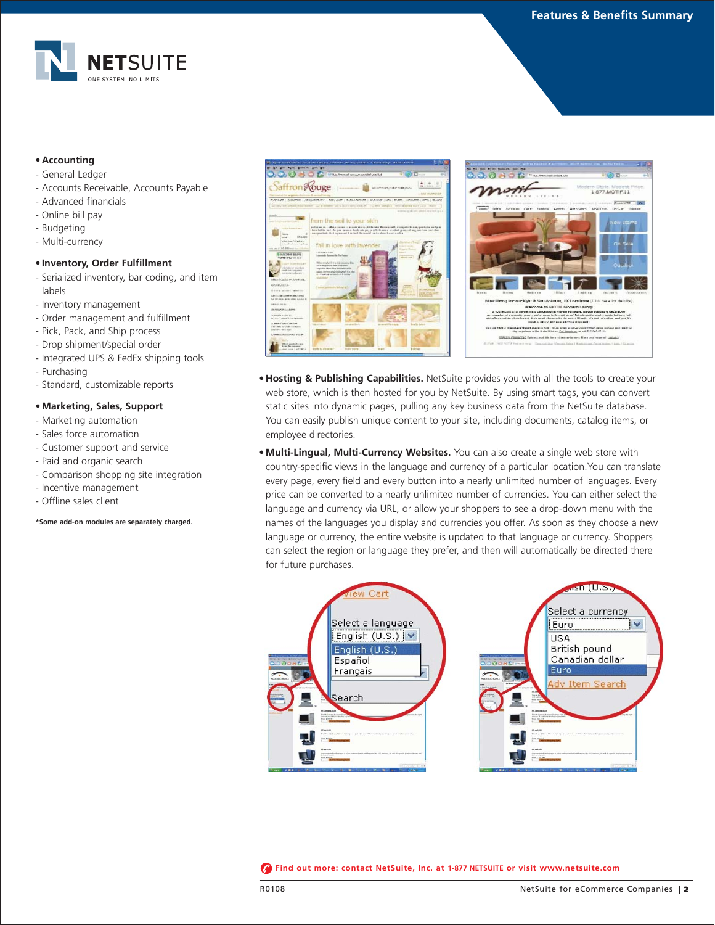1 Style Modest<br>1.877.MOTIF.11



## **•Accounting**

- General Ledger
- Accounts Receivable, Accounts Payable
- Advanced financials
- Online bill pay
- Budgeting
- Multi-currency

## **•Inventory, Order Fulfillment**

- Serialized inventory, bar coding, and item labels
- Inventory management
- Order management and fulfillment
- Pick, Pack, and Ship process
- Drop shipment/special order
- Integrated UPS & FedEx shipping tools
- Purchasing
- Standard, customizable reports

#### **•Marketing, Sales, Support**

- Marketing automation
- Sales force automation
- Customer support and service
- Paid and organic search
- Comparison shopping site integration
- Incentive management
- Offline sales client

#### **\*Some add-on modules are separately charged.**





**• Multi-Lingual, Multi-Currency Websites.** You can also create a single web store with country-specific views in the language and currency of a particular location.You can translate every page, every field and every button into a nearly unlimited number of languages. Every price can be converted to a nearly unlimited number of currencies. You can either select the language and currency via URL, or allow your shoppers to see a drop-down menu with the names of the languages you display and currencies you offer. As soon as they choose a new language or currency, the entire website is updated to that language or currency. Shoppers can select the region or language they prefer, and then will automatically be directed there for future purchases.

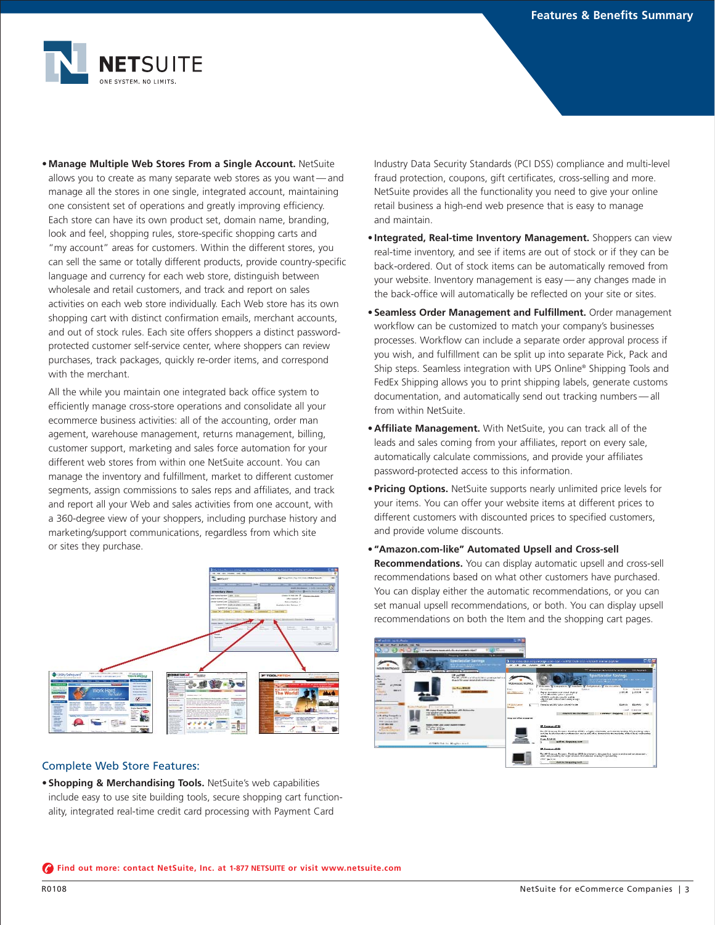

**• Manage Multiple Web Stores From a Single Account.** NetSuite allows you to create as many separate web stores as you want — and manage all the stores in one single, integrated account, maintaining one consistent set of operations and greatly improving efficiency. Each store can have its own product set, domain name, branding, look and feel, shopping rules, store-specific shopping carts and "my account" areas for customers. Within the different stores, you can sell the same or totally different products, provide country-specific language and currency for each web store, distinguish between wholesale and retail customers, and track and report on sales activities on each web store individually. Each Web store has its own shopping cart with distinct confirmation emails, merchant accounts, and out of stock rules. Each site offers shoppers a distinct passwordprotected customer self-service center, where shoppers can review purchases, track packages, quickly re-order items, and correspond with the merchant.

All the while you maintain one integrated back office system to efficiently manage cross-store operations and consolidate all your ecommerce business activities: all of the accounting, order man agement, warehouse management, returns management, billing, customer support, marketing and sales force automation for your different web stores from within one NetSuite account. You can manage the inventory and fulfillment, market to different customer segments, assign commissions to sales reps and affiliates, and track and report all your Web and sales activities from one account, with a 360-degree view of your shoppers, including purchase history and marketing/support communications, regardless from which site or sites they purchase.



## Complete Web Store Features:

**• Shopping & Merchandising Tools.** NetSuite's web capabilities include easy to use site building tools, secure shopping cart functionality, integrated real-time credit card processing with Payment Card

Industry Data Security Standards (PCI DSS) compliance and multi-level fraud protection, coupons, gift certificates, cross-selling and more. NetSuite provides all the functionality you need to give your online retail business a high-end web presence that is easy to manage and maintain.

- **Integrated, Real-time Inventory Management.** Shoppers can view real-time inventory, and see if items are out of stock or if they can be back-ordered. Out of stock items can be automatically removed from your website. Inventory management is easy — any changes made in the back-office will automatically be reflected on your site or sites.
- **Seamless Order Management and Fulfillment.** Order management workflow can be customized to match your company's businesses processes. Workflow can include a separate order approval process if you wish, and fulfillment can be split up into separate Pick, Pack and Ship steps. Seamless integration with UPS Online® Shipping Tools and FedEx Shipping allows you to print shipping labels, generate customs documentation, and automatically send out tracking numbers — all from within NetSuite.
- **Affiliate Management.** With NetSuite, you can track all of the leads and sales coming from your affiliates, report on every sale, automatically calculate commissions, and provide your affiliates password-protected access to this information.
- **Pricing Options.** NetSuite supports nearly unlimited price levels for your items. You can offer your website items at different prices to different customers with discounted prices to specified customers, and provide volume discounts.
- **"Amazon.com-like" Automated Upsell and Cross-sell Recommendations.** You can display automatic upsell and cross-sell recommendations based on what other customers have purchased. You can display either the automatic recommendations, or you can set manual upsell recommendations, or both. You can display upsell recommendations on both the Item and the shopping cart pages.

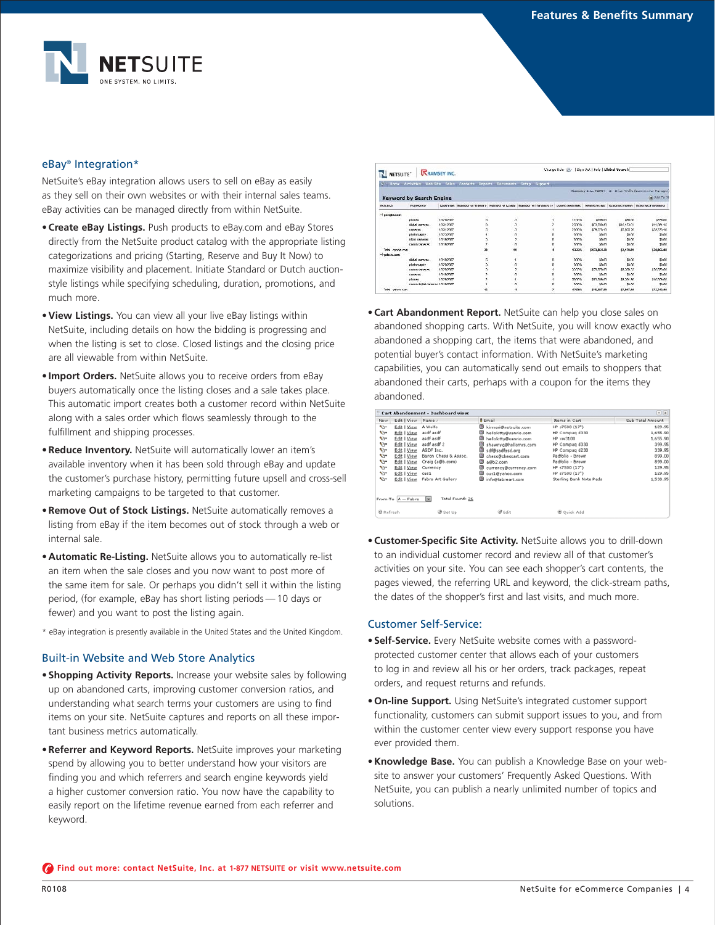

# eBay® Integration\*

NetSuite's eBay integration allows users to sell on eBay as easily as they sell on their own websites or with their internal sales teams. eBay activities can be managed directly from within NetSuite.

- **Create eBay Listings.** Push products to eBay.com and eBay Stores directly from the NetSuite product catalog with the appropriate listing categorizations and pricing (Starting, Reserve and Buy It Now) to maximize visibility and placement. Initiate Standard or Dutch auctionstyle listings while specifying scheduling, duration, promotions, and much more.
- **View Listings.** You can view all your live eBay listings within NetSuite, including details on how the bidding is progressing and when the listing is set to close. Closed listings and the closing price are all viewable from within NetSuite.
- **Import Orders.** NetSuite allows you to receive orders from eBay buyers automatically once the listing closes and a sale takes place. This automatic import creates both a customer record within NetSuite along with a sales order which flows seamlessly through to the fulfillment and shipping processes.
- **Reduce Inventory.** NetSuite will automatically lower an item's available inventory when it has been sold through eBay and update the customer's purchase history, permitting future upsell and cross-sell marketing campaigns to be targeted to that customer.
- **Remove Out of Stock Listings.** NetSuite automatically removes a listing from eBay if the item becomes out of stock through a web or internal sale.
- **Automatic Re-Listing.** NetSuite allows you to automatically re-list an item when the sale closes and you now want to post more of the same item for sale. Or perhaps you didn't sell it within the listing period, (for example, eBay has short listing periods — 10 days or fewer) and you want to post the listing again.
- \* eBay integration is presently available in the United States and the United Kingdom.

# Built-in Website and Web Store Analytics

- **Shopping Activity Reports.** Increase your website sales by following up on abandoned carts, improving customer conversion ratios, and understanding what search terms your customers are using to find items on your site. NetSuite captures and reports on all these important business metrics automatically.
- **Referrer and Keyword Reports.** NetSuite improves your marketing spend by allowing you to better understand how your visitors are finding you and which referrers and search engine keywords yield a higher customer conversion ratio. You now have the capability to easily report on the lifetime revenue earned from each referrer and keyword.

| <b>NETSUITE</b>     |                                 | <b>RRAMSEY INC.</b> | Change Role: (B -   Sign Out   Help   Libibal Severch |    |                                                                                                                      |        |                        |             |                                  |
|---------------------|---------------------------------|---------------------|-------------------------------------------------------|----|----------------------------------------------------------------------------------------------------------------------|--------|------------------------|-------------|----------------------------------|
|                     |                                 |                     |                                                       |    | " Home Activities was the Sales Contacts Reports Decuments Setup Support                                             |        |                        |             |                                  |
|                     |                                 |                     |                                                       |    |                                                                                                                      |        | Reproces Inc., Y2097 Z |             | Brian Wolfe (Economerce Manager) |
|                     | <b>Keyword by Search Engine</b> |                     |                                                       |    |                                                                                                                      |        |                        |             | @ Ann Third                      |
| Referees            | <b>Newwords</b>                 |                     |                                                       |    | Last Vrati Humber of Vratory Humber of Leady Humber of Purchasery Connectator/Rate Total Reservac Western Washington |        |                        |             | Report packing changes           |
| - genele.com        |                                 | ----                |                                                       |    |                                                                                                                      |        | リッシングラフ                |             |                                  |
|                     | threes.                         | 10/20/30/7          | n                                                     |    |                                                                                                                      | 12:37% | \$789.01               | \$66.01     | \$789.00                         |
|                     | <b>SIGN CARACAC</b>             | 10/01/2027          | n                                                     |    |                                                                                                                      | 2507%  | \$33,700.93            | \$10,470.01 | \$41,094.45                      |
|                     | <b>CACACAS</b>                  | 10/202027           |                                                       | ä, |                                                                                                                      | 20,00% | \$39,275.40            | \$7,025.30  | \$39,275.40                      |
|                     | photography                     | 10/20/2027          |                                                       | a  | n                                                                                                                    | noms.  | \$0.00                 | \$0.00      | 3000                             |
|                     | nkon ramaran.                   | 10/19/2022          |                                                       |    | ñ                                                                                                                    | nom.   | \$0.00                 | \$0.00      | \$0.00                           |
|                     | <b>CARDO CATALAS</b>            | 10/19/2007          | 2                                                     | n. | n                                                                                                                    | nome   | \$0.00                 | \$0.00      | \$0.00                           |
| Titlel concele com- |                                 |                     | 36                                                    | Ħ  |                                                                                                                      | 13,33% | \$123,864,38           | \$4,470.01  | \$39,966.00                      |
| -whencom            |                                 |                     |                                                       |    |                                                                                                                      |        |                        |             |                                  |
|                     | <b>SIGN CARACAC</b>             | 10/19/2027          | G.                                                    |    | ñ                                                                                                                    | noms.  | \$0.00                 | snon        | \$0.00                           |
|                     | photography                     | 10/20/2027          | b.                                                    | ø  | 'n                                                                                                                   | nome   | \$0.00                 | \$0.00      | \$0.00                           |
|                     | <b>CARDO CATALAS</b>            | 10/20/2017          |                                                       |    |                                                                                                                      | 20.37% | \$30 rom on            | \$9,009.33  | \$30,070,00                      |
|                     | CACACAS                         | 10192007            |                                                       |    |                                                                                                                      | nom.   | \$0.00                 | \$0.00      | 30.00                            |
|                     | cheres.                         | 10/29/2027          |                                                       |    |                                                                                                                      | 50,00% | \$10,009.00            | \$9,704.90  | \$10,509.03                      |
|                     | canno digital canwas 10/19/2027 |                     |                                                       |    | n                                                                                                                    | nom.   | \$0.00                 | \$0.00      | \$0.00                           |
| Trial yahaa ran     |                                 |                     | 16                                                    |    |                                                                                                                      | 12,58% | <b>SALCOTION</b>       | \$7,917.99  | \$73,343,98                      |

**• Cart Abandonment Report.** NetSuite can help you close sales on abandoned shopping carts. With NetSuite, you will know exactly who abandoned a shopping cart, the items that were abandoned, and potential buyer's contact information. With NetSuite's marketing capabilities, you can automatically send out emails to shoppers that abandoned their carts, perhaps with a coupon for the items they abandoned.

|                         |                   | Cart Abandonment - Dashboard view: |                            |                         | $-  x  $         |
|-------------------------|-------------------|------------------------------------|----------------------------|-------------------------|------------------|
| New                     | Edit   View       | Name A                             | 8 Email                    | Items in Cart           | Sub-Total Amount |
| v.                      | Edit   View       | A Wolfe                            | œ<br>kinnari@netsuite.com  | HP s7500 (17")          | 129.95           |
| Vr.                     | Edit   View       | asdf asdf                          | hellokitty@sanrio.com      | HP Compag d330          | 1,655.90         |
| ۷ï۳                     | Edit   View       | asdf asdf                          | hellokitty@sanrio.com      | HP xw3100               | 1,655.90         |
| v.                      | Edit   View       | asdf asdf 2                        | shawnyg@hellomrs.com       | HP Compag d330          | 399.95           |
| v.                      | Edit   View       | ASDF Inc.                          | œ<br>sdf@sadfasd.org       | HP Compag d230          | 339.95           |
| ٩b                      | Edit   View       | Baron Chess & Assoc.               | chess@chessart.com         | Padfolio - Brown        | 899.00           |
| v.                      | Edit   View       | Craig (a@b.com)                    | G<br>a@b2.com              | Padfolio - Brown        | 899.00           |
| V).                     | Edit   View       | Currency                           | œ<br>currency@currency.com | HP ≤7500 (17")          | 129.95           |
| N3+                     | Edit   View       | cus1                               | m<br>cus1@yahoo.com        | HP s7500 (17")          | 129.95           |
| ۷à۰                     | Edit   View       | Fabre Art Gallery                  | info@fabreart.com          | Sterling Bank Note Pads | 1,530.95         |
|                         | From-To A - Fabre | Total Found: 26<br>×               |                            |                         |                  |
| <b><i>@</i></b> Refresh |                   | Set Up                             | <b>B</b> Edit              | O ouick Add             |                  |
|                         |                   |                                    |                            |                         |                  |

**• Customer-Specific Site Activity.** NetSuite allows you to drill-down to an individual customer record and review all of that customer's activities on your site. You can see each shopper's cart contents, the pages viewed, the referring URL and keyword, the click-stream paths, the dates of the shopper's first and last visits, and much more.

## Customer Self-Service:

- **Self-Service.** Every NetSuite website comes with a passwordprotected customer center that allows each of your customers to log in and review all his or her orders, track packages, repeat orders, and request returns and refunds.
- **On-line Support.** Using NetSuite's integrated customer support functionality, customers can submit support issues to you, and from within the customer center view every support response you have ever provided them.
- **Knowledge Base.** You can publish a Knowledge Base on your website to answer your customers' Frequently Asked Questions. With NetSuite, you can publish a nearly unlimited number of topics and solutions.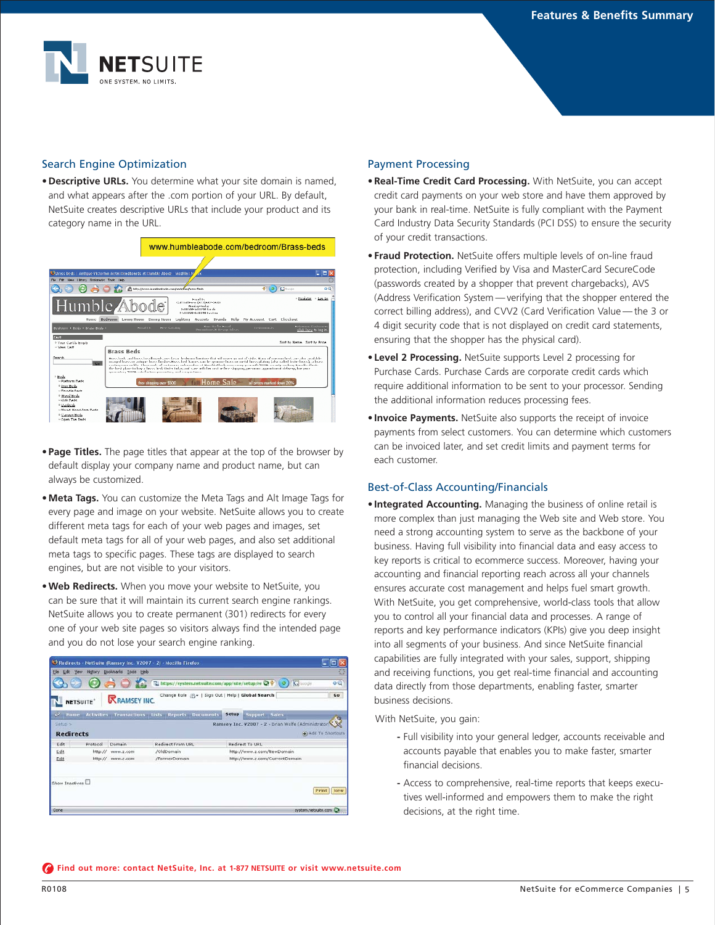

# Search Engine Optimization

**• Descriptive URLs.** You determine what your site domain is named, and what appears after the .com portion of your URL. By default, NetSuite creates descriptive URLs that include your product and its category name in the URL.



- **Page Titles.** The page titles that appear at the top of the browser by default display your company name and product name, but can always be customized.
- **Meta Tags.** You can customize the Meta Tags and Alt Image Tags for every page and image on your website. NetSuite allows you to create different meta tags for each of your web pages and images, set default meta tags for all of your web pages, and also set additional meta tags to specific pages. These tags are displayed to search engines, but are not visible to your visitors.
- **Web Redirects.** When you move your website to NetSuite, you can be sure that it will maintain its current search engine rankings. NetSuite allows you to create permanent (301) redirects for every one of your web site pages so visitors always find the intended page and you do not lose your search engine ranking.

|                                                              |                 |                     | Redirects - NetSuite (Ramsey Inc. V2007 - 2) - Mozilla Firefox |                                                     |                     |  |
|--------------------------------------------------------------|-----------------|---------------------|----------------------------------------------------------------|-----------------------------------------------------|---------------------|--|
| File<br>History Bookmarks Tools Help<br><b>Edit</b><br>View. |                 |                     |                                                                |                                                     |                     |  |
|                                                              |                 |                     | https://system.netsuite.com/app/site/setup/re Q+ (0)           |                                                     | oQ<br>(Cloope       |  |
|                                                              | <b>NETSUITE</b> | <b>RRAMSEY INC.</b> | Change Role $23 - 1$ Sign Out   Help   Global Search           |                                                     | Go                  |  |
|                                                              |                 |                     | Mame Activities Transactions Lists Reports Documents           | Setup<br>Support Sales                              |                     |  |
| Setup >                                                      |                 |                     |                                                                | Ramsey Inc. V2007 - 2 - Brian Wolfe (Administrator) |                     |  |
| <b>Redirects</b>                                             |                 |                     |                                                                |                                                     | a) Add To Shortcuts |  |
| Edit                                                         | Protocol        | Domain              | Redirect From URL                                              | Redirect To URL                                     |                     |  |
| Ldit                                                         | http://         | www.z.com           | /OldDomain                                                     | http://www.z.com/NewDomain                          |                     |  |
| Edit                                                         | http://         | www.z.com           | /FormerDomain                                                  | http://www.z.com/CurrentDomain                      |                     |  |
| Show Inactives                                               |                 |                     |                                                                |                                                     | Print   New         |  |
| Done                                                         |                 |                     |                                                                |                                                     | system.netsuite.com |  |

## Payment Processing

- **Real-Time Credit Card Processing.** With NetSuite, you can accept credit card payments on your web store and have them approved by your bank in real-time. NetSuite is fully compliant with the Payment Card Industry Data Security Standards (PCI DSS) to ensure the security of your credit transactions.
- **Fraud Protection.** NetSuite offers multiple levels of on-line fraud protection, including Verified by Visa and MasterCard SecureCode (passwords created by a shopper that prevent chargebacks), AVS (Address Verification System — verifying that the shopper entered the correct billing address), and CVV2 (Card Verification Value — the 3 or 4 digit security code that is not displayed on credit card statements, ensuring that the shopper has the physical card).
- **Level 2 Processing.** NetSuite supports Level 2 processing for Purchase Cards. Purchase Cards are corporate credit cards which require additional information to be sent to your processor. Sending the additional information reduces processing fees.
- **Invoice Payments.** NetSuite also supports the receipt of invoice payments from select customers. You can determine which customers can be invoiced later, and set credit limits and payment terms for each customer.

# Best-of-Class Accounting/Financials

**• Integrated Accounting.** Managing the business of online retail is more complex than just managing the Web site and Web store. You need a strong accounting system to serve as the backbone of your business. Having full visibility into financial data and easy access to key reports is critical to ecommerce success. Moreover, having your accounting and financial reporting reach across all your channels ensures accurate cost management and helps fuel smart growth. With NetSuite, you get comprehensive, world-class tools that allow you to control all your financial data and processes. A range of reports and key performance indicators (KPIs) give you deep insight into all segments of your business. And since NetSuite financial capabilities are fully integrated with your sales, support, shipping and receiving functions, you get real-time financial and accounting data directly from those departments, enabling faster, smarter business decisions.

With NetSuite, you gain:

- **-** Full visibility into your general ledger, accounts receivable and accounts payable that enables you to make faster, smarter financial decisions.
- **-** Access to comprehensive, real-time reports that keeps executives well-informed and empowers them to make the right decisions, at the right time.